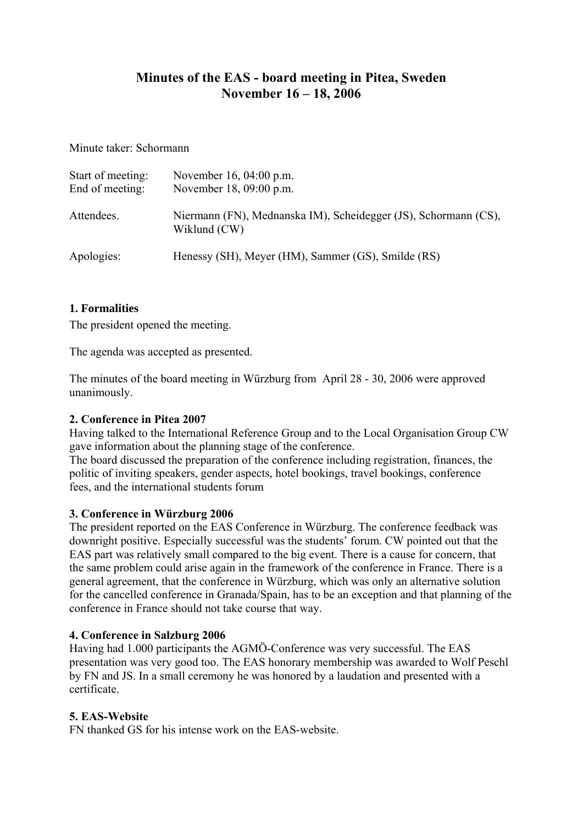## **Minutes of the EAS - board meeting in Pitea, Sweden November 16 – 18, 2006**

Minute taker: Schormann

| Start of meeting:<br>End of meeting: | November 16, 04:00 p.m.<br>November 18, 09:00 p.m.                              |
|--------------------------------------|---------------------------------------------------------------------------------|
| Attendees.                           | Niermann (FN), Mednanska IM), Scheidegger (JS), Schormann (CS),<br>Wiklund (CW) |
| Apologies:                           | Henessy (SH), Meyer (HM), Sammer (GS), Smilde (RS)                              |

### **1. Formalities**

The president opened the meeting.

The agenda was accepted as presented.

The minutes of the board meeting in Würzburg from April 28 - 30, 2006 were approved unanimously.

### **2. Conference in Pitea 2007**

Having talked to the International Reference Group and to the Local Organisation Group CW gave information about the planning stage of the conference.

The board discussed the preparation of the conference including registration, finances, the politic of inviting speakers, gender aspects, hotel bookings, travel bookings, conference fees, and the international students forum

#### **3. Conference in Würzburg 2006**

The president reported on the EAS Conference in Würzburg. The conference feedback was downright positive. Especially successful was the students' forum. CW pointed out that the EAS part was relatively small compared to the big event. There is a cause for concern, that the same problem could arise again in the framework of the conference in France. There is a general agreement, that the conference in Würzburg, which was only an alternative solution for the cancelled conference in Granada/Spain, has to be an exception and that planning of the conference in France should not take course that way.

#### **4. Conference in Salzburg 2006**

Having had 1.000 participants the AGMÖ-Conference was very successful. The EAS presentation was very good too. The EAS honorary membership was awarded to Wolf Peschl by FN and JS. In a small ceremony he was honored by a laudation and presented with a certificate.

### **5. EAS-Website**

FN thanked GS for his intense work on the EAS-website.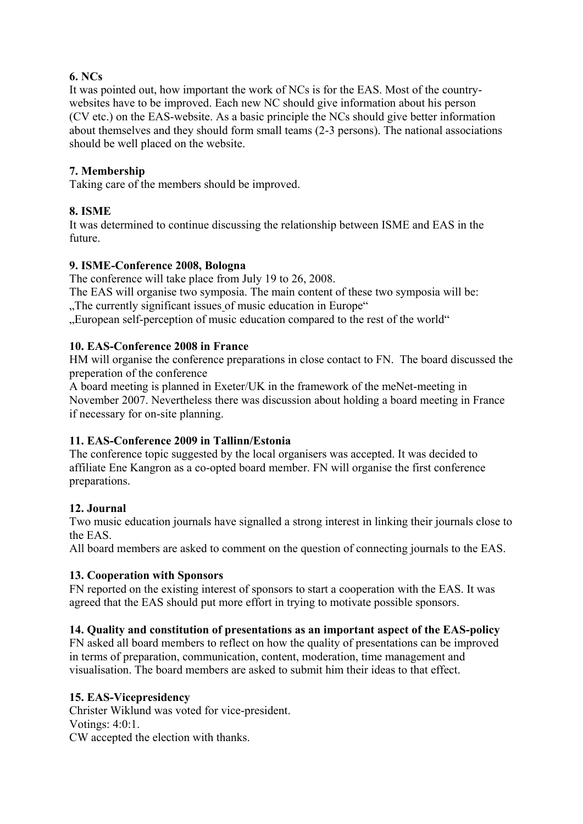## **6. NCs**

It was pointed out, how important the work of NCs is for the EAS. Most of the countrywebsites have to be improved. Each new NC should give information about his person (CV etc.) on the EAS-website. As a basic principle the NCs should give better information about themselves and they should form small teams (2-3 persons). The national associations should be well placed on the website.

## **7. Membership**

Taking care of the members should be improved.

### **8. ISME**

It was determined to continue discussing the relationship between ISME and EAS in the future.

### **9. ISME-Conference 2008, Bologna**

The conference will take place from July 19 to 26, 2008.

The EAS will organise two symposia. The main content of these two symposia will be: ..The currently significant issues of music education in Europe"

"European self-perception of music education compared to the rest of the world"

### **10. EAS-Conference 2008 in France**

HM will organise the conference preparations in close contact to FN. The board discussed the preperation of the conference

A board meeting is planned in Exeter/UK in the framework of the meNet-meeting in November 2007. Nevertheless there was discussion about holding a board meeting in France if necessary for on-site planning.

### **11. EAS-Conference 2009 in Tallinn/Estonia**

The conference topic suggested by the local organisers was accepted. It was decided to affiliate Ene Kangron as a co-opted board member. FN will organise the first conference preparations.

### **12. Journal**

Two music education journals have signalled a strong interest in linking their journals close to the EAS.

All board members are asked to comment on the question of connecting journals to the EAS.

### **13. Cooperation with Sponsors**

FN reported on the existing interest of sponsors to start a cooperation with the EAS. It was agreed that the EAS should put more effort in trying to motivate possible sponsors.

### **14. Quality and constitution of presentations as an important aspect of the EAS-policy**

FN asked all board members to reflect on how the quality of presentations can be improved in terms of preparation, communication, content, moderation, time management and visualisation. The board members are asked to submit him their ideas to that effect.

#### **15. EAS-Vicepresidency**

Christer Wiklund was voted for vice-president. Votings: 4:0:1. CW accepted the election with thanks.